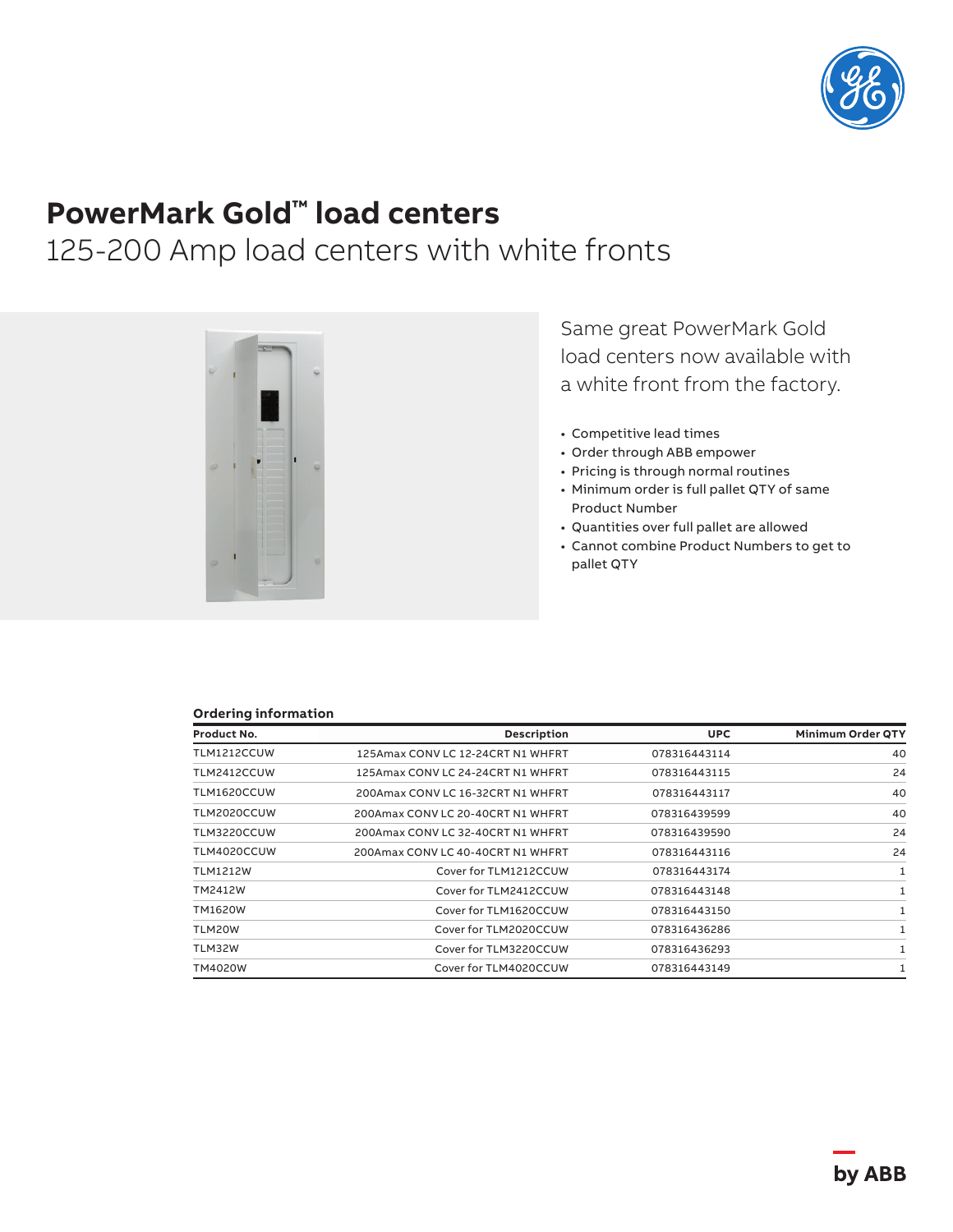

# **PowerMark Gold™ load centers**

## 125-200 Amp load centers with white fronts



Same great PowerMark Gold load centers now available with a white front from the factory.

- Competitive lead times
- Order through ABB empower
- Pricing is through normal routines
- Minimum order is full pallet QTY of same Product Number
- Quantities over full pallet are allowed
- Cannot combine Product Numbers to get to pallet QTY

#### **Ordering information**

| Product No.     | Description                       | <b>UPC</b>   | <b>Minimum Order QTY</b> |
|-----------------|-----------------------------------|--------------|--------------------------|
| TLM1212CCUW     | 125Amax CONV LC 12-24CRT N1 WHFRT | 078316443114 | 40                       |
| TLM2412CCUW     | 125Amax CONV LC 24-24CRT N1 WHFRT | 078316443115 | 24                       |
| TLM1620CCUW     | 200Amax CONV LC 16-32CRT N1 WHFRT | 078316443117 | 40                       |
| TLM2020CCUW     | 200Amax CONV LC 20-40CRT N1 WHFRT | 078316439599 | 40                       |
| TLM3220CCUW     | 200Amax CONV LC 32-40CRT N1 WHFRT | 078316439590 | 24                       |
| TLM4020CCUW     | 200Amax CONV LC 40-40CRT N1 WHFRT | 078316443116 | 24                       |
| <b>TLM1212W</b> | Cover for TLM1212CCUW             | 078316443174 | 1                        |
| TM2412W         | Cover for TLM2412CCUW             | 078316443148 | 1                        |
| TM1620W         | Cover for TLM1620CCUW             | 078316443150 |                          |
| TLM20W          | Cover for TLM2020CCUW             | 078316436286 | 1                        |
| TLM32W          | Cover for TLM3220CCUW             | 078316436293 |                          |
| TM4020W         | Cover for TLM4020CCUW             | 078316443149 | 1                        |